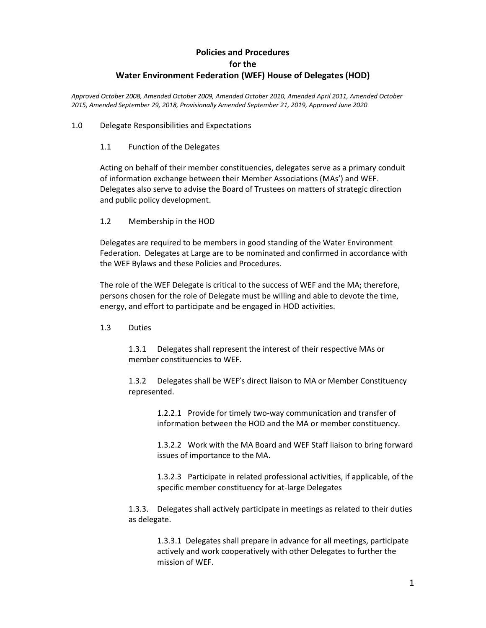# **Policies and Procedures for the Water Environment Federation (WEF) House of Delegates (HOD)**

*Approved October 2008, Amended October 2009, Amended October 2010, Amended April 2011, Amended October 2015, Amended September 29, 2018, Provisionally Amended September 21, 2019, Approved June 2020*

## 1.0 Delegate Responsibilities and Expectations

## 1.1 Function of the Delegates

Acting on behalf of their member constituencies, delegates serve as a primary conduit of information exchange between their Member Associations (MAs') and WEF. Delegates also serve to advise the Board of Trustees on matters of strategic direction and public policy development.

## 1.2 Membership in the HOD

Delegates are required to be members in good standing of the Water Environment Federation. Delegates at Large are to be nominated and confirmed in accordance with the WEF Bylaws and these Policies and Procedures.

The role of the WEF Delegate is critical to the success of WEF and the MA; therefore, persons chosen for the role of Delegate must be willing and able to devote the time, energy, and effort to participate and be engaged in HOD activities.

#### 1.3 Duties

1.3.1 Delegates shall represent the interest of their respective MAs or member constituencies to WEF.

1.3.2 Delegates shall be WEF's direct liaison to MA or Member Constituency represented.

> 1.2.2.1 Provide for timely two-way communication and transfer of information between the HOD and the MA or member constituency.

1.3.2.2 Work with the MA Board and WEF Staff liaison to bring forward issues of importance to the MA.

1.3.2.3 Participate in related professional activities, if applicable, of the specific member constituency for at-large Delegates

1.3.3. Delegates shall actively participate in meetings as related to their duties as delegate.

> 1.3.3.1 Delegates shall prepare in advance for all meetings, participate actively and work cooperatively with other Delegates to further the mission of WEF.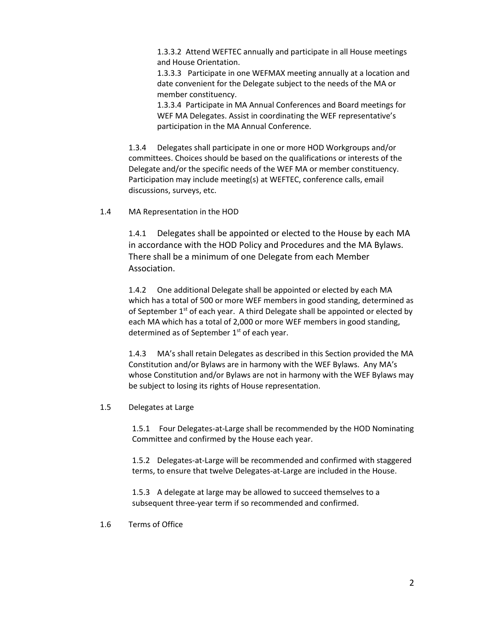1.3.3.2 Attend WEFTEC annually and participate in all House meetings and House Orientation.

1.3.3.3 Participate in one WEFMAX meeting annually at a location and date convenient for the Delegate subject to the needs of the MA or member constituency.

1.3.3.4 Participate in MA Annual Conferences and Board meetings for WEF MA Delegates. Assist in coordinating the WEF representative's participation in the MA Annual Conference.

1.3.4 Delegates shall participate in one or more HOD Workgroups and/or committees. Choices should be based on the qualifications or interests of the Delegate and/or the specific needs of the WEF MA or member constituency. Participation may include meeting(s) at WEFTEC, conference calls, email discussions, surveys, etc.

1.4 MA Representation in the HOD

1.4.1 Delegates shall be appointed or elected to the House by each MA in accordance with the HOD Policy and Procedures and the MA Bylaws. There shall be a minimum of one Delegate from each Member Association.

1.4.2 One additional Delegate shall be appointed or elected by each MA which has a total of 500 or more WEF members in good standing, determined as of September  $1<sup>st</sup>$  of each year. A third Delegate shall be appointed or elected by each MA which has a total of 2,000 or more WEF members in good standing, determined as of September  $1<sup>st</sup>$  of each year.

1.4.3 MA's shall retain Delegates as described in this Section provided the MA Constitution and/or Bylaws are in harmony with the WEF Bylaws. Any MA's whose Constitution and/or Bylaws are not in harmony with the WEF Bylaws may be subject to losing its rights of House representation.

1.5 Delegates at Large

1.5.1 Four Delegates-at-Large shall be recommended by the HOD Nominating Committee and confirmed by the House each year.

1.5.2 Delegates-at-Large will be recommended and confirmed with staggered terms, to ensure that twelve Delegates-at-Large are included in the House.

1.5.3 A delegate at large may be allowed to succeed themselves to a subsequent three-year term if so recommended and confirmed.

1.6 Terms of Office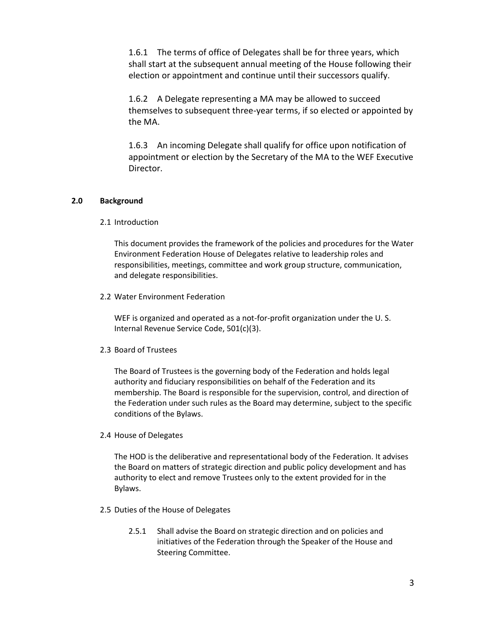1.6.1 The terms of office of Delegates shall be for three years, which shall start at the subsequent annual meeting of the House following their election or appointment and continue until their successors qualify.

1.6.2 A Delegate representing a MA may be allowed to succeed themselves to subsequent three-year terms, if so elected or appointed by the MA.

1.6.3 An incoming Delegate shall qualify for office upon notification of appointment or election by the Secretary of the MA to the WEF Executive Director.

# **2.0 Background**

2.1 Introduction

This document provides the framework of the policies and procedures for the Water Environment Federation House of Delegates relative to leadership roles and responsibilities, meetings, committee and work group structure, communication, and delegate responsibilities.

2.2 Water Environment Federation

WEF is organized and operated as a not-for-profit organization under the U. S. Internal Revenue Service Code, 501(c)(3).

2.3 Board of Trustees

The Board of Trustees is the governing body of the Federation and holds legal authority and fiduciary responsibilities on behalf of the Federation and its membership. The Board is responsible for the supervision, control, and direction of the Federation under such rules as the Board may determine, subject to the specific conditions of the Bylaws.

2.4 House of Delegates

The HOD is the deliberative and representational body of the Federation. It advises the Board on matters of strategic direction and public policy development and has authority to elect and remove Trustees only to the extent provided for in the Bylaws.

- 2.5 Duties of the House of Delegates
	- 2.5.1 Shall advise the Board on strategic direction and on policies and initiatives of the Federation through the Speaker of the House and Steering Committee.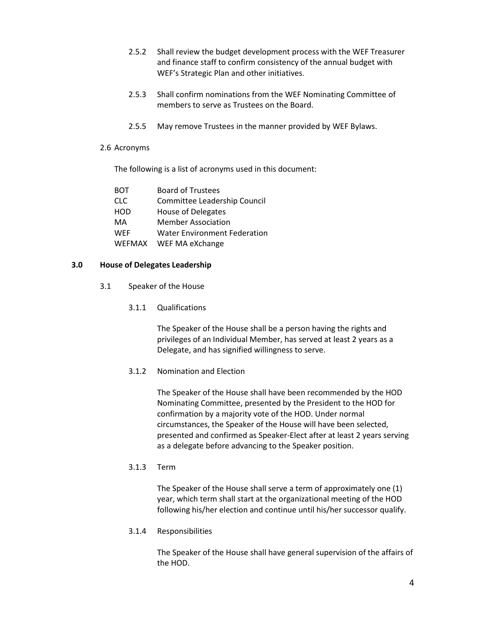- 2.5.2 Shall review the budget development process with the WEF Treasurer and finance staff to confirm consistency of the annual budget with WEF's Strategic Plan and other initiatives.
- 2.5.3 Shall confirm nominations from the WEF Nominating Committee of members to serve as Trustees on the Board.
- 2.5.5 May remove Trustees in the manner provided by WEF Bylaws.
- 2.6 Acronyms

The following is a list of acronyms used in this document:

| <b>BOT</b>    | <b>Board of Trustees</b>            |
|---------------|-------------------------------------|
| <b>CLC</b>    | Committee Leadership Council        |
| <b>HOD</b>    | <b>House of Delegates</b>           |
| MA            | <b>Member Association</b>           |
| <b>WEF</b>    | <b>Water Environment Federation</b> |
| <b>WEFMAX</b> | WEF MA eXchange                     |

#### **3.0 House of Delegates Leadership**

- 3.1 Speaker of the House
	- 3.1.1 Qualifications

The Speaker of the House shall be a person having the rights and privileges of an Individual Member, has served at least 2 years as a Delegate, and has signified willingness to serve.

## 3.1.2 Nomination and Election

The Speaker of the House shall have been recommended by the HOD Nominating Committee, presented by the President to the HOD for confirmation by a majority vote of the HOD. Under normal circumstances, the Speaker of the House will have been selected, presented and confirmed as Speaker-Elect after at least 2 years serving as a delegate before advancing to the Speaker position.

# 3.1.3 Term

The Speaker of the House shall serve a term of approximately one (1) year, which term shall start at the organizational meeting of the HOD following his/her election and continue until his/her successor qualify.

3.1.4 Responsibilities

The Speaker of the House shall have general supervision of the affairs of the HOD.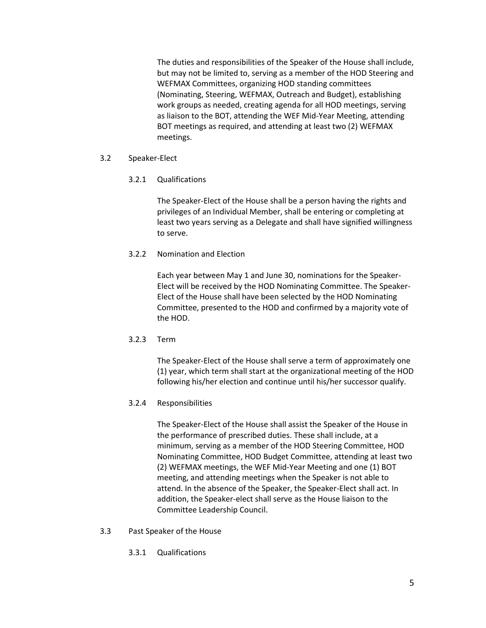The duties and responsibilities of the Speaker of the House shall include, but may not be limited to, serving as a member of the HOD Steering and WEFMAX Committees, organizing HOD standing committees (Nominating, Steering, WEFMAX, Outreach and Budget), establishing work groups as needed, creating agenda for all HOD meetings, serving as liaison to the BOT, attending the WEF Mid-Year Meeting, attending BOT meetings as required, and attending at least two (2) WEFMAX meetings.

# 3.2 Speaker-Elect

# 3.2.1 Qualifications

The Speaker-Elect of the House shall be a person having the rights and privileges of an Individual Member, shall be entering or completing at least two years serving as a Delegate and shall have signified willingness to serve.

# 3.2.2 Nomination and Election

Each year between May 1 and June 30, nominations for the Speaker-Elect will be received by the HOD Nominating Committee. The Speaker-Elect of the House shall have been selected by the HOD Nominating Committee, presented to the HOD and confirmed by a majority vote of the HOD.

# 3.2.3 Term

The Speaker-Elect of the House shall serve a term of approximately one (1) year, which term shall start at the organizational meeting of the HOD following his/her election and continue until his/her successor qualify.

# 3.2.4 Responsibilities

The Speaker-Elect of the House shall assist the Speaker of the House in the performance of prescribed duties. These shall include, at a minimum, serving as a member of the HOD Steering Committee, HOD Nominating Committee, HOD Budget Committee, attending at least two (2) WEFMAX meetings, the WEF Mid-Year Meeting and one (1) BOT meeting, and attending meetings when the Speaker is not able to attend. In the absence of the Speaker, the Speaker-Elect shall act. In addition, the Speaker-elect shall serve as the House liaison to the Committee Leadership Council.

- 3.3 Past Speaker of the House
	- 3.3.1 Qualifications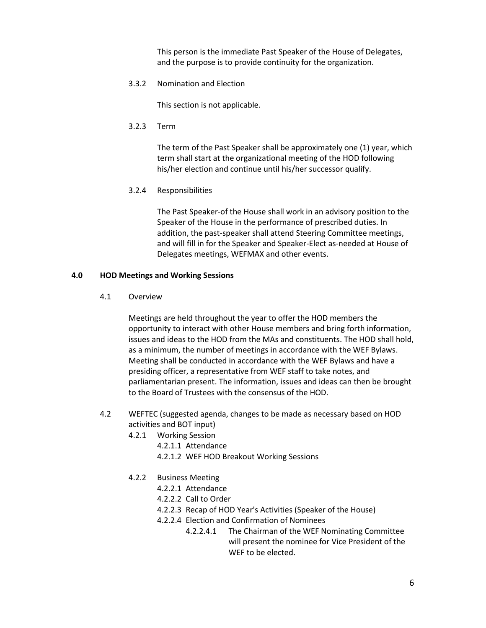This person is the immediate Past Speaker of the House of Delegates, and the purpose is to provide continuity for the organization.

3.3.2 Nomination and Election

This section is not applicable.

3.2.3 Term

The term of the Past Speaker shall be approximately one (1) year, which term shall start at the organizational meeting of the HOD following his/her election and continue until his/her successor qualify.

3.2.4 Responsibilities

The Past Speaker-of the House shall work in an advisory position to the Speaker of the House in the performance of prescribed duties. In addition, the past-speaker shall attend Steering Committee meetings, and will fill in for the Speaker and Speaker-Elect as-needed at House of Delegates meetings, WEFMAX and other events.

#### **4.0 HOD Meetings and Working Sessions**

4.1 Overview

Meetings are held throughout the year to offer the HOD members the opportunity to interact with other House members and bring forth information, issues and ideas to the HOD from the MAs and constituents. The HOD shall hold, as a minimum, the number of meetings in accordance with the WEF Bylaws. Meeting shall be conducted in accordance with the WEF Bylaws and have a presiding officer, a representative from WEF staff to take notes, and parliamentarian present. The information, issues and ideas can then be brought to the Board of Trustees with the consensus of the HOD.

- 4.2 WEFTEC (suggested agenda, changes to be made as necessary based on HOD activities and BOT input)
	- 4.2.1 Working Session
		- 4.2.1.1 Attendance
		- 4.2.1.2 WEF HOD Breakout Working Sessions
	- 4.2.2 Business Meeting
		- 4.2.2.1 Attendance
		- 4.2.2.2 Call to Order
		- 4.2.2.3 Recap of HOD Year's Activities (Speaker of the House)
		- 4.2.2.4 Election and Confirmation of Nominees
			- 4.2.2.4.1 The Chairman of the WEF Nominating Committee will present the nominee for Vice President of the WEF to be elected.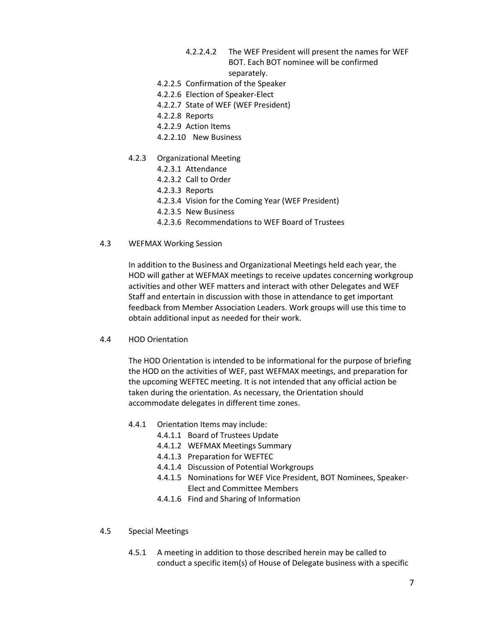- 4.2.2.4.2 The WEF President will present the names for WEF BOT. Each BOT nominee will be confirmed separately.
- 4.2.2.5 Confirmation of the Speaker
- 4.2.2.6 Election of Speaker-Elect
- 4.2.2.7 State of WEF (WEF President)
- 4.2.2.8 Reports
- 4.2.2.9 Action Items
- 4.2.2.10 New Business
- 4.2.3 Organizational Meeting
	- 4.2.3.1 Attendance
	- 4.2.3.2 Call to Order
	- 4.2.3.3 Reports
	- 4.2.3.4 Vision for the Coming Year (WEF President)
	- 4.2.3.5 New Business
	- 4.2.3.6 Recommendations to WEF Board of Trustees
- 4.3 WEFMAX Working Session

In addition to the Business and Organizational Meetings held each year, the HOD will gather at WEFMAX meetings to receive updates concerning workgroup activities and other WEF matters and interact with other Delegates and WEF Staff and entertain in discussion with those in attendance to get important feedback from Member Association Leaders. Work groups will use this time to obtain additional input as needed for their work.

4.4 HOD Orientation

The HOD Orientation is intended to be informational for the purpose of briefing the HOD on the activities of WEF, past WEFMAX meetings, and preparation for the upcoming WEFTEC meeting. It is not intended that any official action be taken during the orientation. As necessary, the Orientation should accommodate delegates in different time zones.

- 4.4.1 Orientation Items may include:
	- 4.4.1.1 Board of Trustees Update
	- 4.4.1.2 WEFMAX Meetings Summary
	- 4.4.1.3 Preparation for WEFTEC
	- 4.4.1.4 Discussion of Potential Workgroups
	- 4.4.1.5 Nominations for WEF Vice President, BOT Nominees, Speaker-Elect and Committee Members
	- 4.4.1.6 Find and Sharing of Information
- 4.5 Special Meetings
	- 4.5.1 A meeting in addition to those described herein may be called to conduct a specific item(s) of House of Delegate business with a specific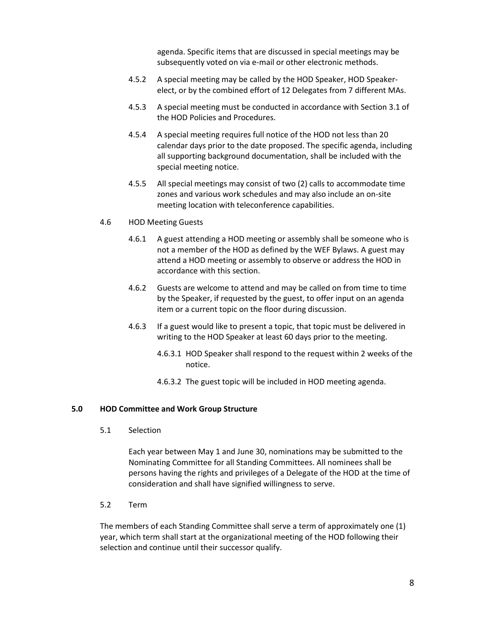agenda. Specific items that are discussed in special meetings may be subsequently voted on via e-mail or other electronic methods.

- 4.5.2 A special meeting may be called by the HOD Speaker, HOD Speakerelect, or by the combined effort of 12 Delegates from 7 different MAs.
- 4.5.3 A special meeting must be conducted in accordance with Section 3.1 of the HOD Policies and Procedures.
- 4.5.4 A special meeting requires full notice of the HOD not less than 20 calendar days prior to the date proposed. The specific agenda, including all supporting background documentation, shall be included with the special meeting notice.
- 4.5.5 All special meetings may consist of two (2) calls to accommodate time zones and various work schedules and may also include an on-site meeting location with teleconference capabilities.
- 4.6 HOD Meeting Guests
	- 4.6.1 A guest attending a HOD meeting or assembly shall be someone who is not a member of the HOD as defined by the WEF Bylaws. A guest may attend a HOD meeting or assembly to observe or address the HOD in accordance with this section.
	- 4.6.2 Guests are welcome to attend and may be called on from time to time by the Speaker, if requested by the guest, to offer input on an agenda item or a current topic on the floor during discussion.
	- 4.6.3 If a guest would like to present a topic, that topic must be delivered in writing to the HOD Speaker at least 60 days prior to the meeting.
		- 4.6.3.1 HOD Speaker shall respond to the request within 2 weeks of the notice.
		- 4.6.3.2 The guest topic will be included in HOD meeting agenda.

#### **5.0 HOD Committee and Work Group Structure**

5.1 Selection

Each year between May 1 and June 30, nominations may be submitted to the Nominating Committee for all Standing Committees. All nominees shall be persons having the rights and privileges of a Delegate of the HOD at the time of consideration and shall have signified willingness to serve.

5.2 Term

The members of each Standing Committee shall serve a term of approximately one (1) year, which term shall start at the organizational meeting of the HOD following their selection and continue until their successor qualify.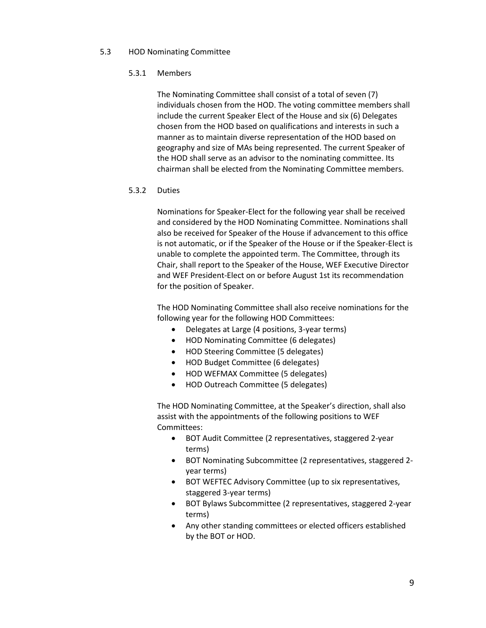## 5.3 HOD Nominating Committee

# 5.3.1 Members

The Nominating Committee shall consist of a total of seven (7) individuals chosen from the HOD. The voting committee members shall include the current Speaker Elect of the House and six (6) Delegates chosen from the HOD based on qualifications and interests in such a manner as to maintain diverse representation of the HOD based on geography and size of MAs being represented. The current Speaker of the HOD shall serve as an advisor to the nominating committee. Its chairman shall be elected from the Nominating Committee members.

## 5.3.2 Duties

Nominations for Speaker-Elect for the following year shall be received and considered by the HOD Nominating Committee. Nominations shall also be received for Speaker of the House if advancement to this office is not automatic, or if the Speaker of the House or if the Speaker-Elect is unable to complete the appointed term. The Committee, through its Chair, shall report to the Speaker of the House, WEF Executive Director and WEF President-Elect on or before August 1st its recommendation for the position of Speaker.

The HOD Nominating Committee shall also receive nominations for the following year for the following HOD Committees:

- Delegates at Large (4 positions, 3-year terms)
- HOD Nominating Committee (6 delegates)
- HOD Steering Committee (5 delegates)
- HOD Budget Committee (6 delegates)
- HOD WEFMAX Committee (5 delegates)
- HOD Outreach Committee (5 delegates)

The HOD Nominating Committee, at the Speaker's direction, shall also assist with the appointments of the following positions to WEF Committees:

- BOT Audit Committee (2 representatives, staggered 2-year terms)
- BOT Nominating Subcommittee (2 representatives, staggered 2 year terms)
- BOT WEFTEC Advisory Committee (up to six representatives, staggered 3-year terms)
- BOT Bylaws Subcommittee (2 representatives, staggered 2-year terms)
- Any other standing committees or elected officers established by the BOT or HOD.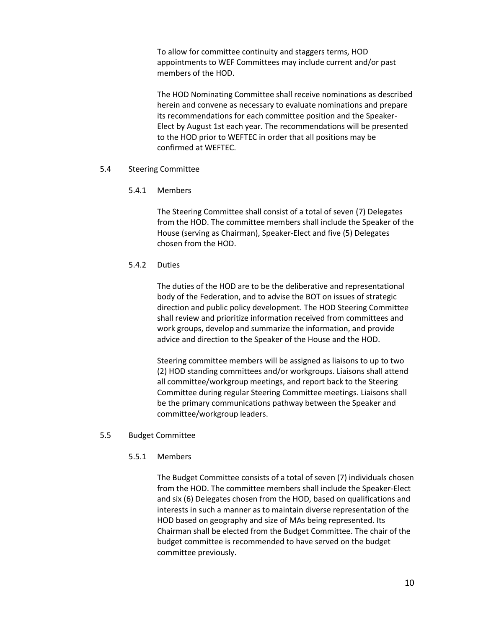To allow for committee continuity and staggers terms, HOD appointments to WEF Committees may include current and/or past members of the HOD.

The HOD Nominating Committee shall receive nominations as described herein and convene as necessary to evaluate nominations and prepare its recommendations for each committee position and the Speaker-Elect by August 1st each year. The recommendations will be presented to the HOD prior to WEFTEC in order that all positions may be confirmed at WEFTEC.

## 5.4 Steering Committee

## 5.4.1 Members

The Steering Committee shall consist of a total of seven (7) Delegates from the HOD. The committee members shall include the Speaker of the House (serving as Chairman), Speaker-Elect and five (5) Delegates chosen from the HOD.

# 5.4.2 Duties

The duties of the HOD are to be the deliberative and representational body of the Federation, and to advise the BOT on issues of strategic direction and public policy development. The HOD Steering Committee shall review and prioritize information received from committees and work groups, develop and summarize the information, and provide advice and direction to the Speaker of the House and the HOD.

Steering committee members will be assigned as liaisons to up to two (2) HOD standing committees and/or workgroups. Liaisons shall attend all committee/workgroup meetings, and report back to the Steering Committee during regular Steering Committee meetings. Liaisons shall be the primary communications pathway between the Speaker and committee/workgroup leaders.

# 5.5 Budget Committee

# 5.5.1 Members

The Budget Committee consists of a total of seven (7) individuals chosen from the HOD. The committee members shall include the Speaker-Elect and six (6) Delegates chosen from the HOD, based on qualifications and interests in such a manner as to maintain diverse representation of the HOD based on geography and size of MAs being represented. Its Chairman shall be elected from the Budget Committee. The chair of the budget committee is recommended to have served on the budget committee previously.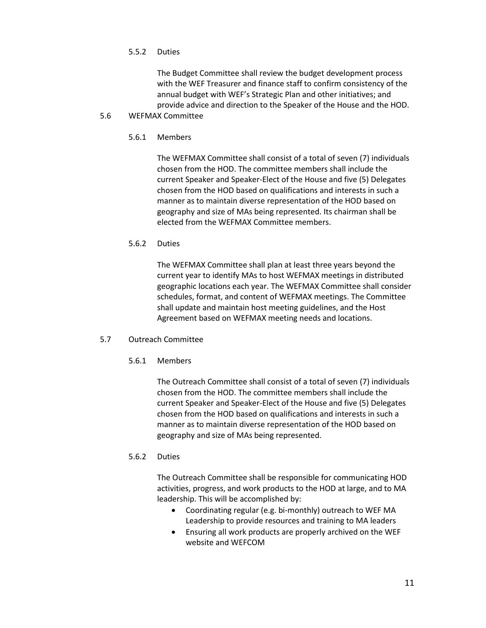## 5.5.2 Duties

The Budget Committee shall review the budget development process with the WEF Treasurer and finance staff to confirm consistency of the annual budget with WEF's Strategic Plan and other initiatives; and provide advice and direction to the Speaker of the House and the HOD.

## 5.6 WEFMAX Committee

5.6.1 Members

The WEFMAX Committee shall consist of a total of seven (7) individuals chosen from the HOD. The committee members shall include the current Speaker and Speaker-Elect of the House and five (5) Delegates chosen from the HOD based on qualifications and interests in such a manner as to maintain diverse representation of the HOD based on geography and size of MAs being represented. Its chairman shall be elected from the WEFMAX Committee members.

## 5.6.2 Duties

The WEFMAX Committee shall plan at least three years beyond the current year to identify MAs to host WEFMAX meetings in distributed geographic locations each year. The WEFMAX Committee shall consider schedules, format, and content of WEFMAX meetings. The Committee shall update and maintain host meeting guidelines, and the Host Agreement based on WEFMAX meeting needs and locations.

# 5.7 Outreach Committee

# 5.6.1 Members

The Outreach Committee shall consist of a total of seven (7) individuals chosen from the HOD. The committee members shall include the current Speaker and Speaker-Elect of the House and five (5) Delegates chosen from the HOD based on qualifications and interests in such a manner as to maintain diverse representation of the HOD based on geography and size of MAs being represented.

# 5.6.2 Duties

The Outreach Committee shall be responsible for communicating HOD activities, progress, and work products to the HOD at large, and to MA leadership. This will be accomplished by:

- Coordinating regular (e.g. bi-monthly) outreach to WEF MA Leadership to provide resources and training to MA leaders
- Ensuring all work products are properly archived on the WEF website and WEFCOM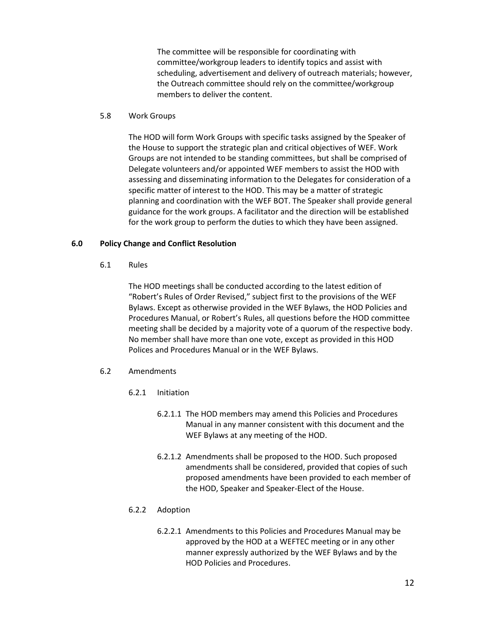The committee will be responsible for coordinating with committee/workgroup leaders to identify topics and assist with scheduling, advertisement and delivery of outreach materials; however, the Outreach committee should rely on the committee/workgroup members to deliver the content.

## 5.8 Work Groups

The HOD will form Work Groups with specific tasks assigned by the Speaker of the House to support the strategic plan and critical objectives of WEF. Work Groups are not intended to be standing committees, but shall be comprised of Delegate volunteers and/or appointed WEF members to assist the HOD with assessing and disseminating information to the Delegates for consideration of a specific matter of interest to the HOD. This may be a matter of strategic planning and coordination with the WEF BOT. The Speaker shall provide general guidance for the work groups. A facilitator and the direction will be established for the work group to perform the duties to which they have been assigned.

# **6.0 Policy Change and Conflict Resolution**

6.1 Rules

The HOD meetings shall be conducted according to the latest edition of "Robert's Rules of Order Revised," subject first to the provisions of the WEF Bylaws. Except as otherwise provided in the WEF Bylaws, the HOD Policies and Procedures Manual, or Robert's Rules, all questions before the HOD committee meeting shall be decided by a majority vote of a quorum of the respective body. No member shall have more than one vote, except as provided in this HOD Polices and Procedures Manual or in the WEF Bylaws.

- 6.2 Amendments
	- 6.2.1 Initiation
		- 6.2.1.1 The HOD members may amend this Policies and Procedures Manual in any manner consistent with this document and the WEF Bylaws at any meeting of the HOD.
		- 6.2.1.2 Amendments shall be proposed to the HOD. Such proposed amendments shall be considered, provided that copies of such proposed amendments have been provided to each member of the HOD, Speaker and Speaker-Elect of the House.

# 6.2.2 Adoption

6.2.2.1 Amendments to this Policies and Procedures Manual may be approved by the HOD at a WEFTEC meeting or in any other manner expressly authorized by the WEF Bylaws and by the HOD Policies and Procedures.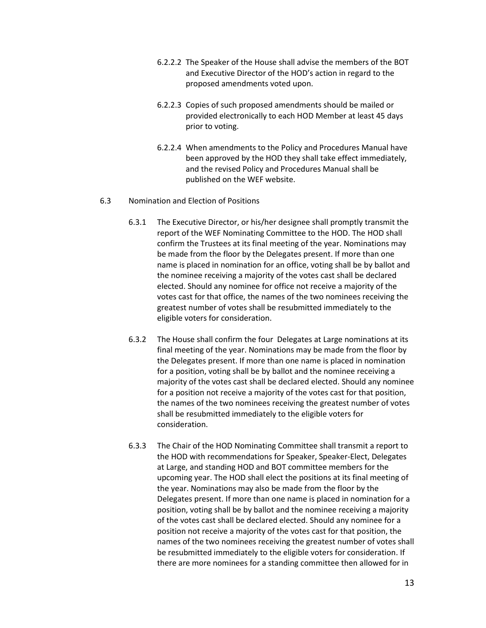- 6.2.2.2 The Speaker of the House shall advise the members of the BOT and Executive Director of the HOD's action in regard to the proposed amendments voted upon.
- 6.2.2.3 Copies of such proposed amendments should be mailed or provided electronically to each HOD Member at least 45 days prior to voting.
- 6.2.2.4 When amendments to the Policy and Procedures Manual have been approved by the HOD they shall take effect immediately, and the revised Policy and Procedures Manual shall be published on the WEF website.

#### 6.3 Nomination and Election of Positions

- 6.3.1 The Executive Director, or his/her designee shall promptly transmit the report of the WEF Nominating Committee to the HOD. The HOD shall confirm the Trustees at its final meeting of the year. Nominations may be made from the floor by the Delegates present. If more than one name is placed in nomination for an office, voting shall be by ballot and the nominee receiving a majority of the votes cast shall be declared elected. Should any nominee for office not receive a majority of the votes cast for that office, the names of the two nominees receiving the greatest number of votes shall be resubmitted immediately to the eligible voters for consideration.
- 6.3.2 The House shall confirm the four Delegates at Large nominations at its final meeting of the year. Nominations may be made from the floor by the Delegates present. If more than one name is placed in nomination for a position, voting shall be by ballot and the nominee receiving a majority of the votes cast shall be declared elected. Should any nominee for a position not receive a majority of the votes cast for that position, the names of the two nominees receiving the greatest number of votes shall be resubmitted immediately to the eligible voters for consideration.
- 6.3.3 The Chair of the HOD Nominating Committee shall transmit a report to the HOD with recommendations for Speaker, Speaker-Elect, Delegates at Large, and standing HOD and BOT committee members for the upcoming year. The HOD shall elect the positions at its final meeting of the year. Nominations may also be made from the floor by the Delegates present. If more than one name is placed in nomination for a position, voting shall be by ballot and the nominee receiving a majority of the votes cast shall be declared elected. Should any nominee for a position not receive a majority of the votes cast for that position, the names of the two nominees receiving the greatest number of votes shall be resubmitted immediately to the eligible voters for consideration. If there are more nominees for a standing committee then allowed for in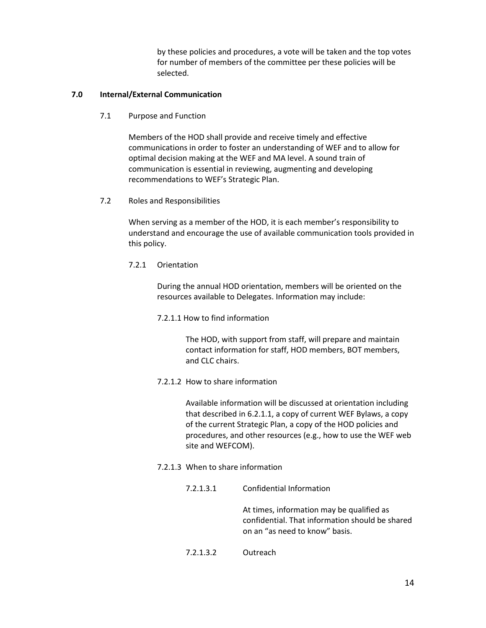by these policies and procedures, a vote will be taken and the top votes for number of members of the committee per these policies will be selected.

# **7.0 Internal/External Communication**

7.1 Purpose and Function

Members of the HOD shall provide and receive timely and effective communications in order to foster an understanding of WEF and to allow for optimal decision making at the WEF and MA level. A sound train of communication is essential in reviewing, augmenting and developing recommendations to WEF's Strategic Plan.

7.2 Roles and Responsibilities

When serving as a member of the HOD, it is each member's responsibility to understand and encourage the use of available communication tools provided in this policy.

7.2.1 Orientation

During the annual HOD orientation, members will be oriented on the resources available to Delegates. Information may include:

7.2.1.1 How to find information

The HOD, with support from staff, will prepare and maintain contact information for staff, HOD members, BOT members, and CLC chairs.

7.2.1.2 How to share information

Available information will be discussed at orientation including that described in 6.2.1.1, a copy of current WEF Bylaws, a copy of the current Strategic Plan, a copy of the HOD policies and procedures, and other resources (e.g., how to use the WEF web site and WEFCOM).

7.2.1.3 When to share information

| 7.2.1.3.1 | Confidential Information                                                                                                       |
|-----------|--------------------------------------------------------------------------------------------------------------------------------|
|           | At times, information may be qualified as<br>confidential. That information should be shared<br>on an "as need to know" basis. |
|           |                                                                                                                                |

7.2.1.3.2 Outreach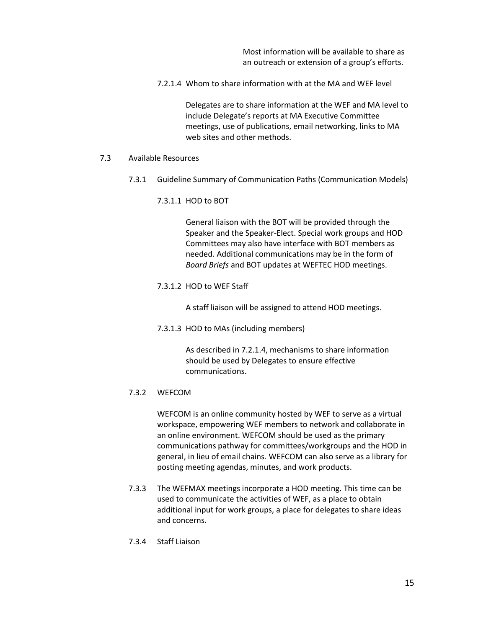Most information will be available to share as an outreach or extension of a group's efforts.

7.2.1.4 Whom to share information with at the MA and WEF level

Delegates are to share information at the WEF and MA level to include Delegate's reports at MA Executive Committee meetings, use of publications, email networking, links to MA web sites and other methods.

#### 7.3 Available Resources

- 7.3.1 Guideline Summary of Communication Paths (Communication Models)
	- 7.3.1.1 HOD to BOT

General liaison with the BOT will be provided through the Speaker and the Speaker-Elect. Special work groups and HOD Committees may also have interface with BOT members as needed. Additional communications may be in the form of *Board Briefs* and BOT updates at WEFTEC HOD meetings.

7.3.1.2 HOD to WEF Staff

A staff liaison will be assigned to attend HOD meetings.

7.3.1.3 HOD to MAs (including members)

As described in 7.2.1.4, mechanisms to share information should be used by Delegates to ensure effective communications.

#### 7.3.2 WEFCOM

WEFCOM is an online community hosted by WEF to serve as a virtual workspace, empowering WEF members to network and collaborate in an online environment. WEFCOM should be used as the primary communications pathway for committees/workgroups and the HOD in general, in lieu of email chains. WEFCOM can also serve as a library for posting meeting agendas, minutes, and work products.

- 7.3.3 The WEFMAX meetings incorporate a HOD meeting. This time can be used to communicate the activities of WEF, as a place to obtain additional input for work groups, a place for delegates to share ideas and concerns.
- 7.3.4 Staff Liaison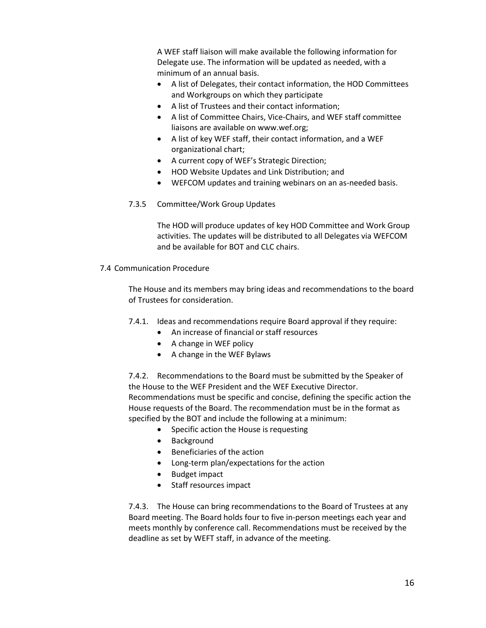A WEF staff liaison will make available the following information for Delegate use. The information will be updated as needed, with a minimum of an annual basis.

- A list of Delegates, their contact information, the HOD Committees and Workgroups on which they participate
- A list of Trustees and their contact information;
- A list of Committee Chairs, Vice-Chairs, and WEF staff committee liaisons are available on www.wef.org;
- A list of key WEF staff, their contact information, and a WEF organizational chart;
- A current copy of WEF's Strategic Direction;
- HOD Website Updates and Link Distribution; and
- WEFCOM updates and training webinars on an as-needed basis.
- 7.3.5 Committee/Work Group Updates

The HOD will produce updates of key HOD Committee and Work Group activities. The updates will be distributed to all Delegates via WEFCOM and be available for BOT and CLC chairs.

7.4 Communication Procedure

The House and its members may bring ideas and recommendations to the board of Trustees for consideration.

- 7.4.1. Ideas and recommendations require Board approval if they require:
	- An increase of financial or staff resources
	- A change in WEF policy
	- A change in the WEF Bylaws

7.4.2. Recommendations to the Board must be submitted by the Speaker of the House to the WEF President and the WEF Executive Director. Recommendations must be specific and concise, defining the specific action the House requests of the Board. The recommendation must be in the format as specified by the BOT and include the following at a minimum:

- Specific action the House is requesting
- Background
- Beneficiaries of the action
- Long-term plan/expectations for the action
- Budget impact
- Staff resources impact

7.4.3. The House can bring recommendations to the Board of Trustees at any Board meeting. The Board holds four to five in-person meetings each year and meets monthly by conference call. Recommendations must be received by the deadline as set by WEFT staff, in advance of the meeting.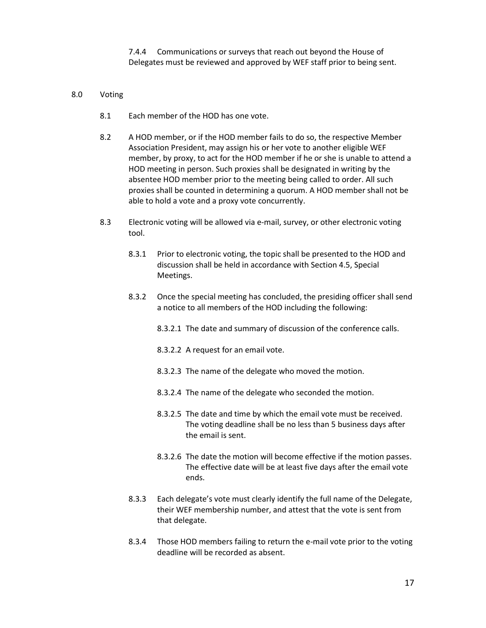7.4.4 Communications or surveys that reach out beyond the House of Delegates must be reviewed and approved by WEF staff prior to being sent.

#### 8.0 Voting

- 8.1 Each member of the HOD has one vote.
- 8.2 A HOD member, or if the HOD member fails to do so, the respective Member Association President, may assign his or her vote to another eligible WEF member, by proxy, to act for the HOD member if he or she is unable to attend a HOD meeting in person. Such proxies shall be designated in writing by the absentee HOD member prior to the meeting being called to order. All such proxies shall be counted in determining a quorum. A HOD member shall not be able to hold a vote and a proxy vote concurrently.
- 8.3 Electronic voting will be allowed via e-mail, survey, or other electronic voting tool.
	- 8.3.1 Prior to electronic voting, the topic shall be presented to the HOD and discussion shall be held in accordance with Section 4.5, Special Meetings.
	- 8.3.2 Once the special meeting has concluded, the presiding officer shall send a notice to all members of the HOD including the following:
		- 8.3.2.1 The date and summary of discussion of the conference calls.
		- 8.3.2.2 A request for an email vote.
		- 8.3.2.3 The name of the delegate who moved the motion.
		- 8.3.2.4 The name of the delegate who seconded the motion.
		- 8.3.2.5 The date and time by which the email vote must be received. The voting deadline shall be no less than 5 business days after the email is sent.
		- 8.3.2.6 The date the motion will become effective if the motion passes. The effective date will be at least five days after the email vote ends.
	- 8.3.3 Each delegate's vote must clearly identify the full name of the Delegate, their WEF membership number, and attest that the vote is sent from that delegate.
	- 8.3.4 Those HOD members failing to return the e-mail vote prior to the voting deadline will be recorded as absent.